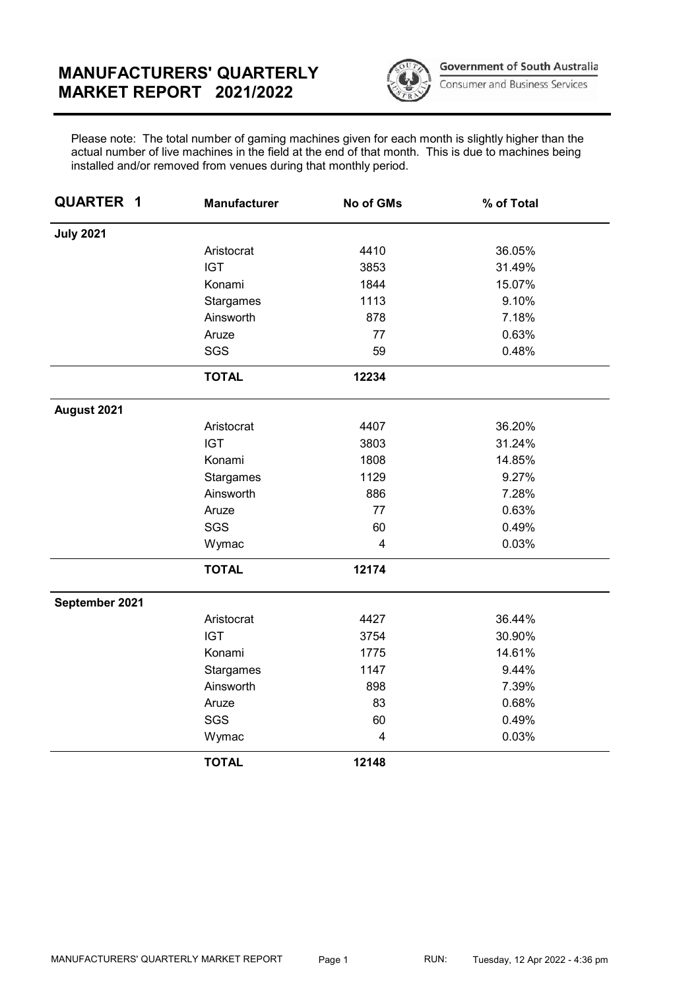## MANUFACTURERS' QUARTERLY MARKET REPORT 2021/2022



**Government of South Australia** 

Consumer and Business Services

Please note: The total number of gaming machines given for each month is slightly higher than the actual number of live machines in the field at the end of that month. This is due to machines being installed and/or removed from venues during that monthly period.

| <b>QUARTER 1</b> | <b>Manufacturer</b> | No of GMs | % of Total |
|------------------|---------------------|-----------|------------|
| <b>July 2021</b> |                     |           |            |
|                  | Aristocrat          | 4410      | 36.05%     |
|                  | <b>IGT</b>          | 3853      | 31.49%     |
|                  | Konami              | 1844      | 15.07%     |
|                  | Stargames           | 1113      | 9.10%      |
|                  | Ainsworth           | 878       | 7.18%      |
|                  | Aruze               | 77        | 0.63%      |
|                  | SGS                 | 59        | 0.48%      |
|                  | <b>TOTAL</b>        | 12234     |            |
| August 2021      |                     |           |            |
|                  | Aristocrat          | 4407      | 36.20%     |
|                  | <b>IGT</b>          | 3803      | 31.24%     |
|                  | Konami              | 1808      | 14.85%     |
|                  | Stargames           | 1129      | 9.27%      |
|                  | Ainsworth           | 886       | 7.28%      |
|                  | Aruze               | 77        | 0.63%      |
|                  | SGS                 | 60        | 0.49%      |
|                  | Wymac               | 4         | 0.03%      |
|                  | <b>TOTAL</b>        | 12174     |            |
| September 2021   |                     |           |            |
|                  | Aristocrat          | 4427      | 36.44%     |
|                  | <b>IGT</b>          | 3754      | 30.90%     |
|                  | Konami              | 1775      | 14.61%     |
|                  | Stargames           | 1147      | 9.44%      |
|                  | Ainsworth           | 898       | 7.39%      |
|                  | Aruze               | 83        | 0.68%      |
|                  | SGS                 | 60        | 0.49%      |
|                  | Wymac               | 4         | 0.03%      |
|                  | <b>TOTAL</b>        | 12148     |            |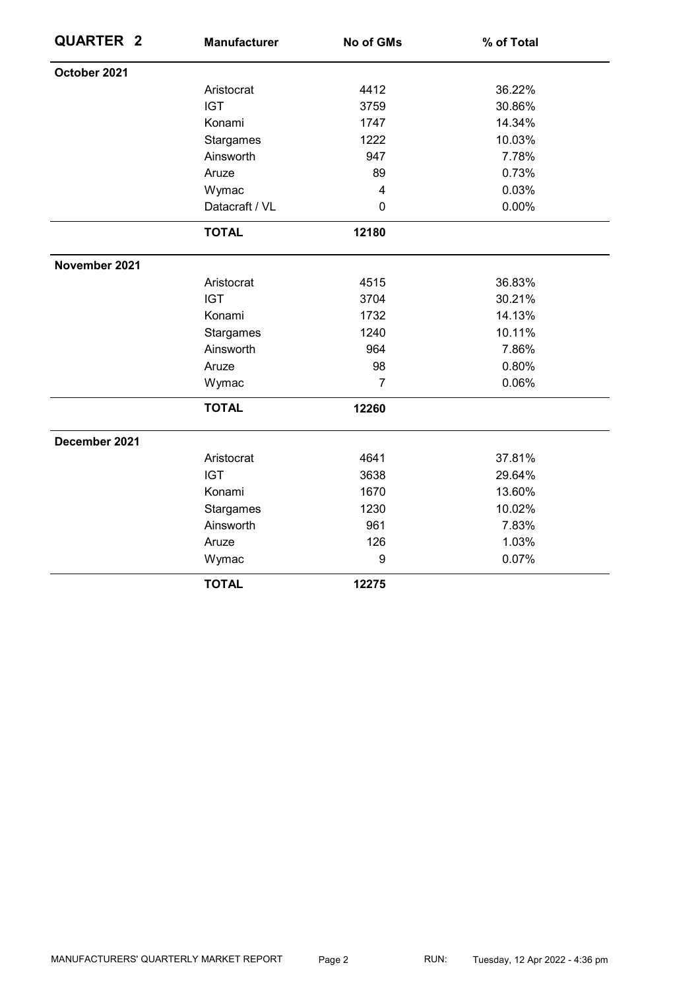| <b>QUARTER 2</b> | <b>Manufacturer</b> | No of GMs        | % of Total |
|------------------|---------------------|------------------|------------|
| October 2021     |                     |                  |            |
|                  | Aristocrat          | 4412             | 36.22%     |
|                  | <b>IGT</b>          | 3759             | 30.86%     |
|                  | Konami              | 1747             | 14.34%     |
|                  | Stargames           | 1222             | 10.03%     |
|                  | Ainsworth           | 947              | 7.78%      |
|                  | Aruze               | 89               | 0.73%      |
|                  | Wymac               | $\overline{4}$   | 0.03%      |
|                  | Datacraft / VL      | $\mathbf 0$      | 0.00%      |
|                  | <b>TOTAL</b>        | 12180            |            |
| November 2021    |                     |                  |            |
|                  | Aristocrat          | 4515             | 36.83%     |
|                  | <b>IGT</b>          | 3704             | 30.21%     |
|                  | Konami              | 1732             | 14.13%     |
|                  | Stargames           | 1240             | 10.11%     |
|                  | Ainsworth           | 964              | 7.86%      |
|                  | Aruze               | 98               | 0.80%      |
|                  | Wymac               | $\overline{7}$   | 0.06%      |
|                  | <b>TOTAL</b>        | 12260            |            |
| December 2021    |                     |                  |            |
|                  | Aristocrat          | 4641             | 37.81%     |
|                  | <b>IGT</b>          | 3638             | 29.64%     |
|                  | Konami              | 1670             | 13.60%     |
|                  | Stargames           | 1230             | 10.02%     |
|                  | Ainsworth           | 961              | 7.83%      |
|                  | Aruze               | 126              | 1.03%      |
|                  | Wymac               | $\boldsymbol{9}$ | 0.07%      |
|                  | <b>TOTAL</b>        | 12275            |            |